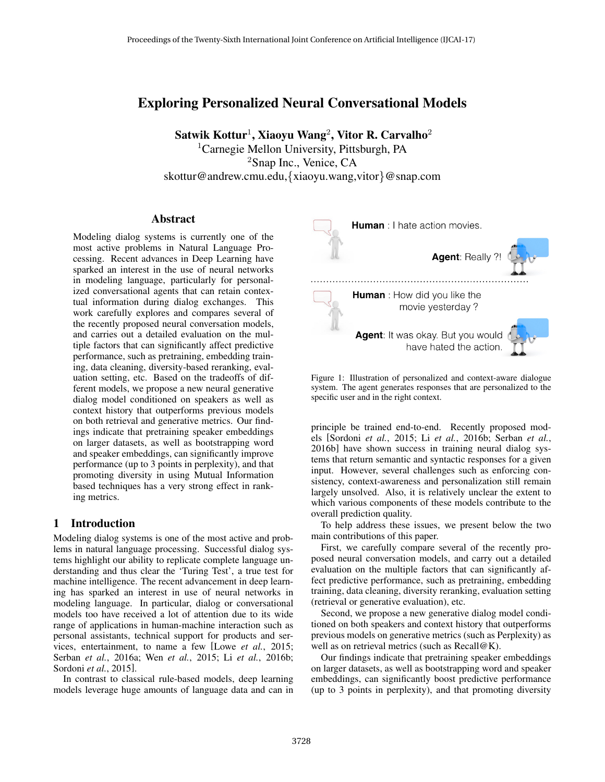# Exploring Personalized Neural Conversational Models

Satwik Kottur $^1$ , Xiaoyu Wang $^2$ , Vitor R. Carvalho $^2$ <sup>1</sup>Carnegie Mellon University, Pittsburgh, PA <sup>2</sup>Snap Inc., Venice, CA skottur@andrew.cmu.edu,{xiaoyu.wang,vitor}@snap.com

#### Abstract

Modeling dialog systems is currently one of the most active problems in Natural Language Processing. Recent advances in Deep Learning have sparked an interest in the use of neural networks in modeling language, particularly for personalized conversational agents that can retain contextual information during dialog exchanges. This work carefully explores and compares several of the recently proposed neural conversation models, and carries out a detailed evaluation on the multiple factors that can significantly affect predictive performance, such as pretraining, embedding training, data cleaning, diversity-based reranking, evaluation setting, etc. Based on the tradeoffs of different models, we propose a new neural generative dialog model conditioned on speakers as well as context history that outperforms previous models on both retrieval and generative metrics. Our findings indicate that pretraining speaker embeddings on larger datasets, as well as bootstrapping word and speaker embeddings, can significantly improve performance (up to 3 points in perplexity), and that promoting diversity in using Mutual Information based techniques has a very strong effect in ranking metrics.

## 1 Introduction

Modeling dialog systems is one of the most active and problems in natural language processing. Successful dialog systems highlight our ability to replicate complete language understanding and thus clear the 'Turing Test', a true test for machine intelligence. The recent advancement in deep learning has sparked an interest in use of neural networks in modeling language. In particular, dialog or conversational models too have received a lot of attention due to its wide range of applications in human-machine interaction such as personal assistants, technical support for products and services, entertainment, to name a few [Lowe *et al.*, 2015; Serban *et al.*, 2016a; Wen *et al.*, 2015; Li *et al.*, 2016b; Sordoni *et al.*, 2015].

In contrast to classical rule-based models, deep learning models leverage huge amounts of language data and can in



Figure 1: Illustration of personalized and context-aware dialogue system. The agent generates responses that are personalized to the specific user and in the right context.

principle be trained end-to-end. Recently proposed models [Sordoni *et al.*, 2015; Li *et al.*, 2016b; Serban *et al.*, 2016b] have shown success in training neural dialog systems that return semantic and syntactic responses for a given input. However, several challenges such as enforcing consistency, context-awareness and personalization still remain largely unsolved. Also, it is relatively unclear the extent to which various components of these models contribute to the overall prediction quality.

To help address these issues, we present below the two main contributions of this paper.

First, we carefully compare several of the recently proposed neural conversation models, and carry out a detailed evaluation on the multiple factors that can significantly affect predictive performance, such as pretraining, embedding training, data cleaning, diversity reranking, evaluation setting (retrieval or generative evaluation), etc.

Second, we propose a new generative dialog model conditioned on both speakers and context history that outperforms previous models on generative metrics (such as Perplexity) as well as on retrieval metrics (such as Recall@K).

Our findings indicate that pretraining speaker embeddings on larger datasets, as well as bootstrapping word and speaker embeddings, can significantly boost predictive performance (up to 3 points in perplexity), and that promoting diversity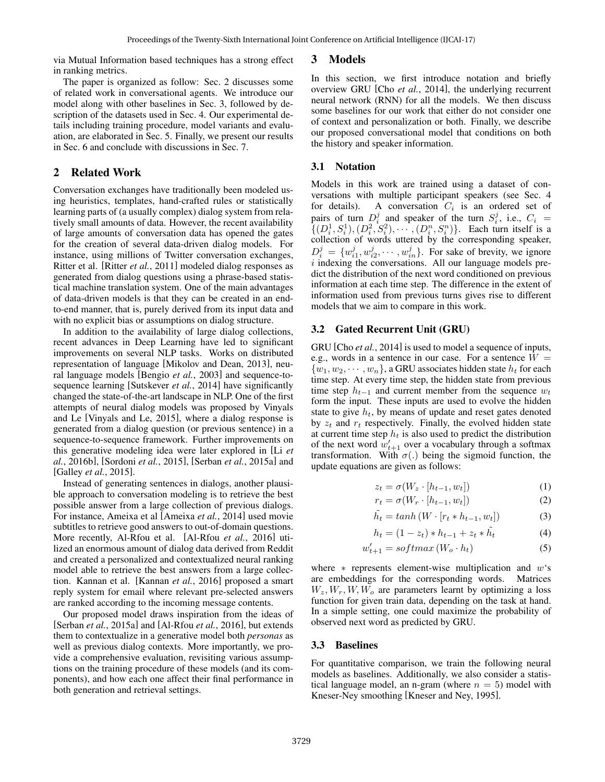via Mutual Information based techniques has a strong effect in ranking metrics.

The paper is organized as follow: Sec. 2 discusses some of related work in conversational agents. We introduce our model along with other baselines in Sec. 3, followed by description of the datasets used in Sec. 4. Our experimental details including training procedure, model variants and evaluation, are elaborated in Sec. 5. Finally, we present our results in Sec. 6 and conclude with discussions in Sec. 7.

## 2 Related Work

Conversation exchanges have traditionally been modeled using heuristics, templates, hand-crafted rules or statistically learning parts of (a usually complex) dialog system from relatively small amounts of data. However, the recent availability of large amounts of conversation data has opened the gates for the creation of several data-driven dialog models. For instance, using millions of Twitter conversation exchanges, Ritter et al. [Ritter *et al.*, 2011] modeled dialog responses as generated from dialog questions using a phrase-based statistical machine translation system. One of the main advantages of data-driven models is that they can be created in an endto-end manner, that is, purely derived from its input data and with no explicit bias or assumptions on dialog structure.

In addition to the availability of large dialog collections, recent advances in Deep Learning have led to significant improvements on several NLP tasks. Works on distributed representation of language [Mikolov and Dean, 2013], neural language models [Bengio *et al.*, 2003] and sequence-tosequence learning [Sutskever *et al.*, 2014] have significantly changed the state-of-the-art landscape in NLP. One of the first attempts of neural dialog models was proposed by Vinyals and Le [Vinyals and Le, 2015], where a dialog response is generated from a dialog question (or previous sentence) in a sequence-to-sequence framework. Further improvements on this generative modeling idea were later explored in [Li *et al.*, 2016b], [Sordoni *et al.*, 2015], [Serban *et al.*, 2015a] and [Galley *et al.*, 2015].

Instead of generating sentences in dialogs, another plausible approach to conversation modeling is to retrieve the best possible answer from a large collection of previous dialogs. For instance, Ameixa et al [Ameixa *et al.*, 2014] used movie subtitles to retrieve good answers to out-of-domain questions. More recently, Al-Rfou et al. [Al-Rfou *et al.*, 2016] utilized an enormous amount of dialog data derived from Reddit and created a personalized and contextualized neural ranking model able to retrieve the best answers from a large collection. Kannan et al. [Kannan *et al.*, 2016] proposed a smart reply system for email where relevant pre-selected answers are ranked according to the incoming message contents.

Our proposed model draws inspiration from the ideas of [Serban *et al.*, 2015a] and [Al-Rfou *et al.*, 2016], but extends them to contextualize in a generative model both *personas* as well as previous dialog contexts. More importantly, we provide a comprehensive evaluation, revisiting various assumptions on the training procedure of these models (and its components), and how each one affect their final performance in both generation and retrieval settings.

#### 3 Models

In this section, we first introduce notation and briefly overview GRU [Cho *et al.*, 2014], the underlying recurrent neural network (RNN) for all the models. We then discuss some baselines for our work that either do not consider one of context and personalization or both. Finally, we describe our proposed conversational model that conditions on both the history and speaker information.

#### 3.1 Notation

Models in this work are trained using a dataset of conversations with multiple participant speakers (see Sec. 4 for details). A conversation  $C_i$  is an ordered set of pairs of turn  $D_i^j$  and speaker of the turn  $S_i^j$ , i.e.,  $C_i$  =  $\{(D_i^1, S_i^1), (D_i^2, S_i^2), \cdots, (D_i^n, S_i^n)\}\$ . Each turn itself is a collection of words uttered by the corresponding speaker,  $D_i^j = \{w_{i1}^j, w_{i2}^j, \cdots, w_{in}^j\}$ . For sake of brevity, we ignore i indexing the conversations. All our language models predict the distribution of the next word conditioned on previous information at each time step. The difference in the extent of information used from previous turns gives rise to different models that we aim to compare in this work.

#### 3.2 Gated Recurrent Unit (GRU)

GRU [Cho *et al.*, 2014] is used to model a sequence of inputs, e.g., words in a sentence in our case. For a sentence  $W =$  $\{w_1, w_2, \cdots, w_n\}$ , a GRU associates hidden state  $h_t$  for each time step. At every time step, the hidden state from previous time step  $h_{t-1}$  and current member from the sequence  $w_t$ form the input. These inputs are used to evolve the hidden state to give  $h_t$ , by means of update and reset gates denoted by  $z_t$  and  $r_t$  respectively. Finally, the evolved hidden state at current time step  $h_t$  is also used to predict the distribution of the next word  $w'_{t+1}$  over a vocabulary through a softmax transformation. With  $\sigma(.)$  being the sigmoid function, the update equations are given as follows:

$$
z_t = \sigma(W_z \cdot [h_{t-1}, w_t]) \tag{1}
$$

$$
r_t = \sigma(W_r \cdot [h_{t-1}, w_t]) \tag{2}
$$

$$
\tilde{h_t} = \tanh\left(W \cdot \left[r_t * h_{t-1}, w_t\right]\right) \tag{3}
$$

$$
h_t = (1 - z_t) * h_{t-1} + z_t * \tilde{h_t}
$$
 (4)

$$
w'_{t+1} = softmax(W_o \cdot h_t) \tag{5}
$$

where  $*$  represents element-wise multiplication and  $w's$ are embeddings for the corresponding words. Matrices  $W_z, W_r, W, W_o$  are parameters learnt by optimizing a loss function for given train data, depending on the task at hand. In a simple setting, one could maximize the probability of observed next word as predicted by GRU.

#### 3.3 Baselines

For quantitative comparison, we train the following neural models as baselines. Additionally, we also consider a statistical language model, an n-gram (where  $n = 5$ ) model with Kneser-Ney smoothing [Kneser and Ney, 1995].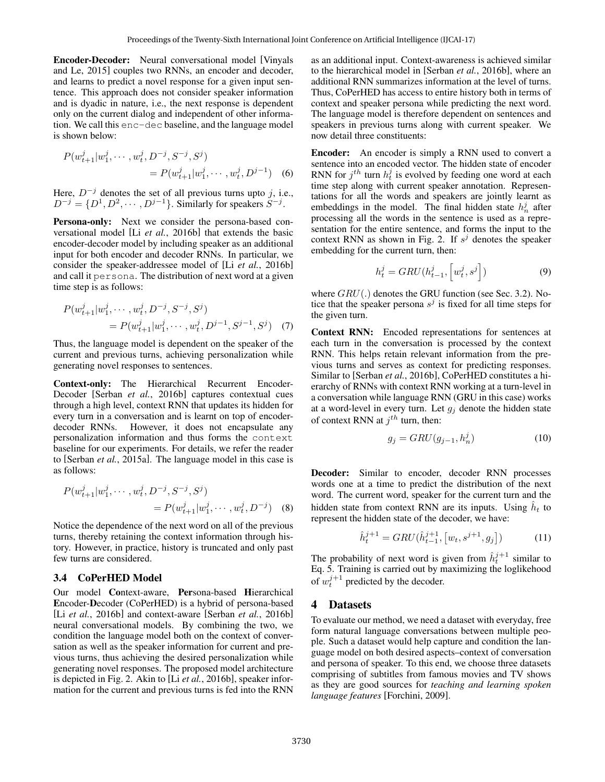Encoder-Decoder: Neural conversational model [Vinyals and Le, 2015] couples two RNNs, an encoder and decoder, and learns to predict a novel response for a given input sentence. This approach does not consider speaker information and is dyadic in nature, i.e., the next response is dependent only on the current dialog and independent of other information. We call this enc-dec baseline, and the language model is shown below:

$$
P(w_{t+1}^j | w_1^j, \cdots, w_t^j, D^{-j}, S^{-j}, S^j)
$$
  
=  $P(w_{t+1}^j | w_1^j, \cdots, w_t^j, D^{j-1})$  (6)

Here,  $D^{-j}$  denotes the set of all previous turns upto j, i.e.,  $D^{-j} = \{D^1, D^2, \cdots, D^{j-1}\}\$ . Similarly for speakers  $S^{-j}$ .

Persona-only: Next we consider the persona-based conversational model [Li *et al.*, 2016b] that extends the basic encoder-decoder model by including speaker as an additional input for both encoder and decoder RNNs. In particular, we consider the speaker-addressee model of [Li *et al.*, 2016b] and call it persona. The distribution of next word at a given time step is as follows:

$$
P(w_{t+1}^j | w_1^j, \cdots, w_t^j, D^{-j}, S^{-j}, S^j)
$$
  
=  $P(w_{t+1}^j | w_1^j, \cdots, w_t^j, D^{j-1}, S^{j-1}, S^j)$  (7)

Thus, the language model is dependent on the speaker of the current and previous turns, achieving personalization while generating novel responses to sentences.

Context-only: The Hierarchical Recurrent Encoder-Decoder [Serban *et al.*, 2016b] captures contextual cues through a high level, context RNN that updates its hidden for every turn in a conversation and is learnt on top of encoderdecoder RNNs. However, it does not encapsulate any personalization information and thus forms the context baseline for our experiments. For details, we refer the reader to [Serban *et al.*, 2015a]. The language model in this case is as follows:

$$
P(w_{t+1}^j | w_1^j, \cdots, w_t^j, D^{-j}, S^{-j}, S^j)
$$
  
=  $P(w_{t+1}^j | w_1^j, \cdots, w_t^j, D^{-j})$  (8)

Notice the dependence of the next word on all of the previous turns, thereby retaining the context information through history. However, in practice, history is truncated and only past few turns are considered.

#### 3.4 CoPerHED Model

Our model Context-aware, Persona-based Hierarchical Encoder-Decoder (CoPerHED) is a hybrid of persona-based [Li *et al.*, 2016b] and context-aware [Serban *et al.*, 2016b] neural conversational models. By combining the two, we condition the language model both on the context of conversation as well as the speaker information for current and previous turns, thus achieving the desired personalization while generating novel responses. The proposed model architecture is depicted in Fig. 2. Akin to [Li *et al.*, 2016b], speaker information for the current and previous turns is fed into the RNN as an additional input. Context-awareness is achieved similar to the hierarchical model in [Serban *et al.*, 2016b], where an additional RNN summarizes information at the level of turns. Thus, CoPerHED has access to entire history both in terms of context and speaker persona while predicting the next word. The language model is therefore dependent on sentences and speakers in previous turns along with current speaker. We now detail three constituents:

Encoder: An encoder is simply a RNN used to convert a sentence into an encoded vector. The hidden state of encoder RNN for  $j^{th}$  turn  $h_t^j$  is evolved by feeding one word at each time step along with current speaker annotation. Representations for all the words and speakers are jointly learnt as embeddings in the model. The final hidden state  $h_n^j$  after processing all the words in the sentence is used as a representation for the entire sentence, and forms the input to the context RNN as shown in Fig. 2. If  $s^j$  denotes the speaker embedding for the current turn, then:

$$
h_t^j = GRU(h_{t-1}^j, \left[w_t^j, s^j\right])
$$
\n<sup>(9)</sup>

where  $GRU(.)$  denotes the GRU function (see Sec. 3.2). Notice that the speaker persona  $s^j$  is fixed for all time steps for the given turn.

Context RNN: Encoded representations for sentences at each turn in the conversation is processed by the context RNN. This helps retain relevant information from the previous turns and serves as context for predicting responses. Similar to [Serban *et al.*, 2016b], CoPerHED constitutes a hierarchy of RNNs with context RNN working at a turn-level in a conversation while language RNN (GRU in this case) works at a word-level in every turn. Let  $q_i$  denote the hidden state of context RNN at  $j^{th}$  turn, then:

$$
g_j = GRU(g_{j-1}, h_n^j) \tag{10}
$$

Decoder: Similar to encoder, decoder RNN processes words one at a time to predict the distribution of the next word. The current word, speaker for the current turn and the hidden state from context RNN are its inputs. Using  $\hat{h}_t$  to represent the hidden state of the decoder, we have:

$$
\hat{h}_t^{j+1} = GRU(\hat{h}_{t-1}^{j+1}, [w_t, s^{j+1}, g_j])
$$
\n(11)

The probability of next word is given from  $\hat{h}_t^{j+1}$  similar to Eq. 5. Training is carried out by maximizing the loglikehood of  $w_t^{j+1}$  predicted by the decoder.

#### 4 Datasets

To evaluate our method, we need a dataset with everyday, free form natural language conversations between multiple people. Such a dataset would help capture and condition the language model on both desired aspects–context of conversation and persona of speaker. To this end, we choose three datasets comprising of subtitles from famous movies and TV shows as they are good sources for *teaching and learning spoken language features* [Forchini, 2009].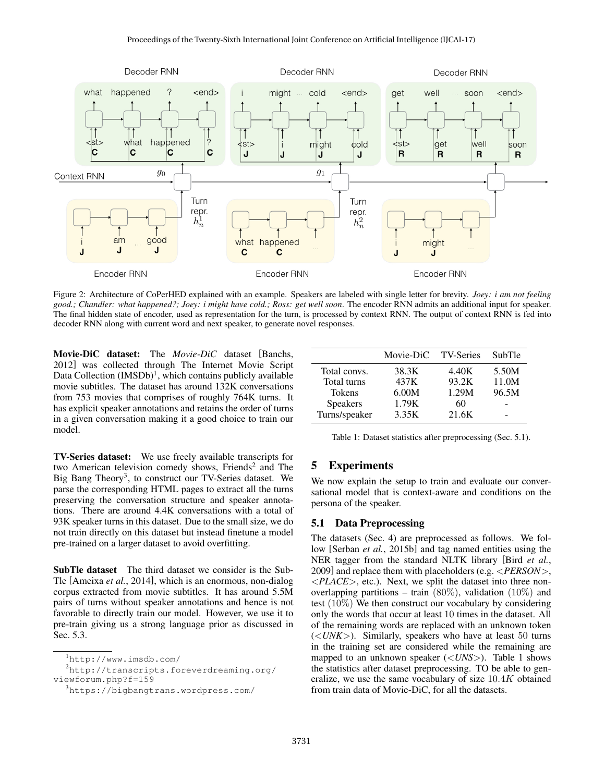

Figure 2: Architecture of CoPerHED explained with an example. Speakers are labeled with single letter for brevity. *Joey: i am not feeling good.; Chandler: what happened?; Joey: i might have cold.; Ross: get well soon*. The encoder RNN admits an additional input for speaker. The final hidden state of encoder, used as representation for the turn, is processed by context RNN. The output of context RNN is fed into decoder RNN along with current word and next speaker, to generate novel responses.

Movie-DiC dataset: The *Movie-DiC* dataset [Banchs, 2012] was collected through The Internet Movie Script Data Collection (IMSDb)<sup>1</sup>, which contains publicly available movie subtitles. The dataset has around 132K conversations from 753 movies that comprises of roughly 764K turns. It has explicit speaker annotations and retains the order of turns in a given conversation making it a good choice to train our model.

TV-Series dataset: We use freely available transcripts for two American television comedy shows, Friends<sup>2</sup> and The Big Bang Theory<sup>3</sup>, to construct our TV-Series dataset. We parse the corresponding HTML pages to extract all the turns preserving the conversation structure and speaker annotations. There are around 4.4K conversations with a total of 93K speaker turns in this dataset. Due to the small size, we do not train directly on this dataset but instead finetune a model pre-trained on a larger dataset to avoid overfitting.

SubTle dataset The third dataset we consider is the Sub-Tle [Ameixa *et al.*, 2014], which is an enormous, non-dialog corpus extracted from movie subtitles. It has around 5.5M pairs of turns without speaker annotations and hence is not favorable to directly train our model. However, we use it to pre-train giving us a strong language prior as discussed in Sec. 5.3.

<sup>1</sup>http://www.imsdb.com/

<sup>2</sup>http://transcripts.foreverdreaming.org/ viewforum.php?f=159

|                 | Movie-DiC | <b>TV-Series</b> | <b>SubTle</b> |
|-----------------|-----------|------------------|---------------|
| Total convs.    | 38.3K     | 4.40K            | 5.50M         |
| Total turns     | 437K      | 93.2K            | 11.0M         |
| <b>Tokens</b>   | 6.00M     | 1.29M            | 96.5M         |
| <b>Speakers</b> | 1.79K     | 60               |               |
| Turns/speaker   | 3.35K     | 21.6K            |               |

Table 1: Dataset statistics after preprocessing (Sec. 5.1).

## 5 Experiments

We now explain the setup to train and evaluate our conversational model that is context-aware and conditions on the persona of the speaker.

#### 5.1 Data Preprocessing

The datasets (Sec. 4) are preprocessed as follows. We follow [Serban *et al.*, 2015b] and tag named entities using the NER tagger from the standard NLTK library [Bird *et al.*, 2009] and replace them with placeholders (e.g. <*PERSON*>, <*PLACE*>, etc.). Next, we split the dataset into three nonoverlapping partitions – train  $(80\%)$ , validation  $(10\%)$  and test  $(10\%)$  We then construct our vocabulary by considering only the words that occur at least 10 times in the dataset. All of the remaining words are replaced with an unknown token  $(*UNK*)$ . Similarly, speakers who have at least 50 turns in the training set are considered while the remaining are mapped to an unknown speaker (<*UNS*>). Table 1 shows the statistics after dataset preprocessing. TO be able to generalize, we use the same vocabulary of size 10.4K obtained from train data of Movie-DiC, for all the datasets.

<sup>3</sup>https://bigbangtrans.wordpress.com/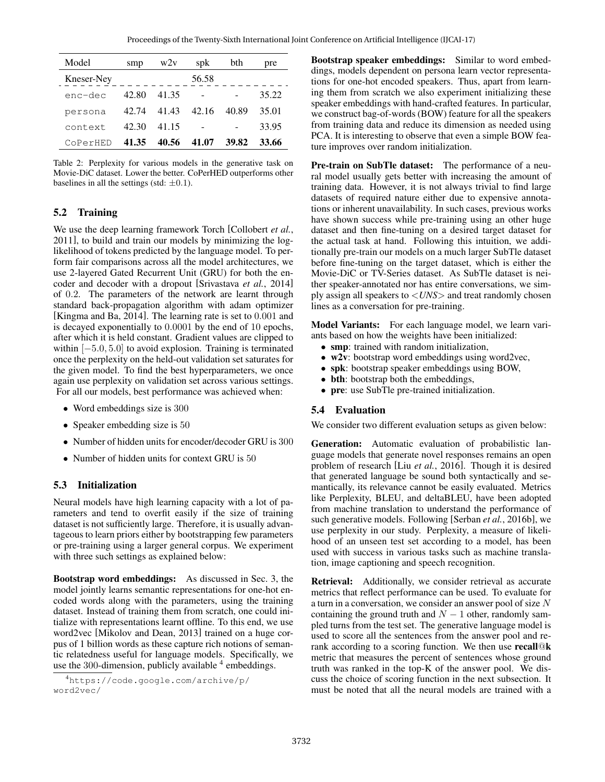| Model      | smp   | w2v   | spk   | bth   | pre   |
|------------|-------|-------|-------|-------|-------|
| Kneser-Ney |       |       | 56.58 |       |       |
| enc-dec    | 42.80 | 41.35 |       |       | 35.22 |
| persona    | 42.74 | 41.43 | 42.16 | 40.89 | 35.01 |
| context    | 42.30 | 41.15 |       |       | 33.95 |
| CoPerHED   | 41.35 | 40.56 | 41.07 | 39.82 | 33.66 |

Table 2: Perplexity for various models in the generative task on Movie-DiC dataset. Lower the better. CoPerHED outperforms other baselines in all the settings (std:  $\pm 0.1$ ).

### 5.2 Training

We use the deep learning framework Torch [Collobert *et al.*, 2011], to build and train our models by minimizing the loglikelihood of tokens predicted by the language model. To perform fair comparisons across all the model architectures, we use 2-layered Gated Recurrent Unit (GRU) for both the encoder and decoder with a dropout [Srivastava *et al.*, 2014] of 0.2. The parameters of the network are learnt through standard back-propagation algorithm with adam optimizer [Kingma and Ba, 2014]. The learning rate is set to 0.001 and is decayed exponentially to 0.0001 by the end of 10 epochs, after which it is held constant. Gradient values are clipped to within  $[-5.0, 5.0]$  to avoid explosion. Training is terminated once the perplexity on the held-out validation set saturates for the given model. To find the best hyperparameters, we once again use perplexity on validation set across various settings. For all our models, best performance was achieved when:

- Word embeddings size is 300
- Speaker embedding size is 50
- Number of hidden units for encoder/decoder GRU is 300
- Number of hidden units for context GRU is 50

### 5.3 Initialization

Neural models have high learning capacity with a lot of parameters and tend to overfit easily if the size of training dataset is not sufficiently large. Therefore, it is usually advantageous to learn priors either by bootstrapping few parameters or pre-training using a larger general corpus. We experiment with three such settings as explained below:

Bootstrap word embeddings: As discussed in Sec. 3, the model jointly learns semantic representations for one-hot encoded words along with the parameters, using the training dataset. Instead of training them from scratch, one could initialize with representations learnt offline. To this end, we use word2vec [Mikolov and Dean, 2013] trained on a huge corpus of 1 billion words as these capture rich notions of semantic relatedness useful for language models. Specifically, we use the 300-dimension, publicly available  $4$  embeddings.

Bootstrap speaker embeddings: Similar to word embeddings, models dependent on persona learn vector representations for one-hot encoded speakers. Thus, apart from learning them from scratch we also experiment initializing these speaker embeddings with hand-crafted features. In particular, we construct bag-of-words (BOW) feature for all the speakers from training data and reduce its dimension as needed using PCA. It is interesting to observe that even a simple BOW feature improves over random initialization.

Pre-train on SubTle dataset: The performance of a neural model usually gets better with increasing the amount of training data. However, it is not always trivial to find large datasets of required nature either due to expensive annotations or inherent unavailability. In such cases, previous works have shown success while pre-training using an other huge dataset and then fine-tuning on a desired target dataset for the actual task at hand. Following this intuition, we additionally pre-train our models on a much larger SubTle dataset before fine-tuning on the target dataset, which is either the Movie-DiC or TV-Series dataset. As SubTle dataset is neither speaker-annotated nor has entire conversations, we simply assign all speakers to <*UNS*> and treat randomly chosen lines as a conversation for pre-training.

Model Variants: For each language model, we learn variants based on how the weights have been initialized:

- smp: trained with random initialization,
- w2v: bootstrap word embeddings using word2vec,
- spk: bootstrap speaker embeddings using BOW,
- bth: bootstrap both the embeddings,
- pre: use SubTle pre-trained initialization.

#### 5.4 Evaluation

We consider two different evaluation setups as given below:

Generation: Automatic evaluation of probabilistic language models that generate novel responses remains an open problem of research [Liu *et al.*, 2016]. Though it is desired that generated language be sound both syntactically and semantically, its relevance cannot be easily evaluated. Metrics like Perplexity, BLEU, and deltaBLEU, have been adopted from machine translation to understand the performance of such generative models. Following [Serban *et al.*, 2016b], we use perplexity in our study. Perplexity, a measure of likelihood of an unseen test set according to a model, has been used with success in various tasks such as machine translation, image captioning and speech recognition.

Retrieval: Additionally, we consider retrieval as accurate metrics that reflect performance can be used. To evaluate for a turn in a conversation, we consider an answer pool of size N containing the ground truth and  $N - 1$  other, randomly sampled turns from the test set. The generative language model is used to score all the sentences from the answer pool and rerank according to a scoring function. We then use recall@k metric that measures the percent of sentences whose ground truth was ranked in the top-K of the answer pool. We discuss the choice of scoring function in the next subsection. It must be noted that all the neural models are trained with a

<sup>4</sup>https://code.google.com/archive/p/ word2vec/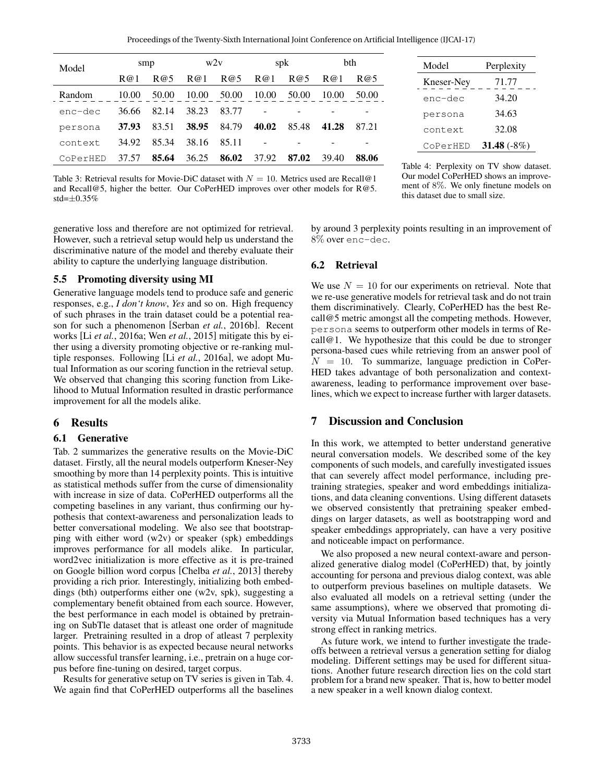Proceedings of the Twenty-Sixth International Joint Conference on Artificial Intelligence (IJCAI-17)

| Model    | smp   |                  | w2v   |       | spk   |       | bth   |       |
|----------|-------|------------------|-------|-------|-------|-------|-------|-------|
|          | R@1   | $R$ ( $\omega$ 5 | R@1   | R@5   | R@1   | R@5   | R@1   | R@5   |
| Random   | 10.00 | 50.00            | 10.00 | 50.00 | 10.00 | 50.00 | 10.00 | 50.00 |
| enc-dec  | 36.66 | 82.14            | 38.23 | 83.77 |       |       |       |       |
| persona  | 37.93 | 83.51            | 38.95 | 84.79 | 40.02 | 85.48 | 41.28 | 87.21 |
| context  | 34.92 | 85.34            | 38.16 | 85.11 |       |       |       |       |
| CoPerHED | 37.57 | 85.64            | 36.25 | 86.02 | 37.92 | 87.02 | 39.40 | 88.06 |

Model Perplexity Kneser-Ney 71.77 enc-dec 34.20 persona 34.63 context 32.08 CoPerHED 31.48 (-8%)

Table 4: Perplexity on TV show dataset. Our model CoPerHED shows an improvement of 8%. We only finetune models on

Table 3: Retrieval results for Movie-DiC dataset with  $N = 10$ . Metrics used are Recall@1 and Recall@5, higher the better. Our CoPerHED improves over other models for R@5. std= $\pm 0.35%$ 

generative loss and therefore are not optimized for retrieval. However, such a retrieval setup would help us understand the discriminative nature of the model and thereby evaluate their ability to capture the underlying language distribution.

## 5.5 Promoting diversity using MI

Generative language models tend to produce safe and generic responses, e.g., *I don't know*, *Yes* and so on. High frequency of such phrases in the train dataset could be a potential reason for such a phenomenon [Serban *et al.*, 2016b]. Recent works [Li *et al.*, 2016a; Wen *et al.*, 2015] mitigate this by either using a diversity promoting objective or re-ranking multiple responses. Following [Li *et al.*, 2016a], we adopt Mutual Information as our scoring function in the retrieval setup. We observed that changing this scoring function from Likelihood to Mutual Information resulted in drastic performance improvement for all the models alike.

# 6 Results

## 6.1 Generative

Tab. 2 summarizes the generative results on the Movie-DiC dataset. Firstly, all the neural models outperform Kneser-Ney smoothing by more than 14 perplexity points. This is intuitive as statistical methods suffer from the curse of dimensionality with increase in size of data. CoPerHED outperforms all the competing baselines in any variant, thus confirming our hypothesis that context-awareness and personalization leads to better conversational modeling. We also see that bootstrapping with either word  $(w2v)$  or speaker (spk) embeddings improves performance for all models alike. In particular, word2vec initialization is more effective as it is pre-trained on Google billion word corpus [Chelba *et al.*, 2013] thereby providing a rich prior. Interestingly, initializing both embeddings (bth) outperforms either one (w2v, spk), suggesting a complementary benefit obtained from each source. However, the best performance in each model is obtained by pretraining on SubTle dataset that is atleast one order of magnitude larger. Pretraining resulted in a drop of atleast 7 perplexity points. This behavior is as expected because neural networks allow successful transfer learning, i.e., pretrain on a huge corpus before fine-tuning on desired, target corpus.

Results for generative setup on TV series is given in Tab. 4. We again find that CoPerHED outperforms all the baselines by around 3 perplexity points resulting in an improvement of 8% over enc-dec.

this dataset due to small size.

## 6.2 Retrieval

We use  $N = 10$  for our experiments on retrieval. Note that we re-use generative models for retrieval task and do not train them discriminatively. Clearly, CoPerHED has the best Recall@5 metric amongst all the competing methods. However, persona seems to outperform other models in terms of Recall $@1$ . We hypothesize that this could be due to stronger persona-based cues while retrieving from an answer pool of  $N = 10$ . To summarize, language prediction in CoPer-HED takes advantage of both personalization and contextawareness, leading to performance improvement over baselines, which we expect to increase further with larger datasets.

# 7 Discussion and Conclusion

In this work, we attempted to better understand generative neural conversation models. We described some of the key components of such models, and carefully investigated issues that can severely affect model performance, including pretraining strategies, speaker and word embeddings initializations, and data cleaning conventions. Using different datasets we observed consistently that pretraining speaker embeddings on larger datasets, as well as bootstrapping word and speaker embeddings appropriately, can have a very positive and noticeable impact on performance.

We also proposed a new neural context-aware and personalized generative dialog model (CoPerHED) that, by jointly accounting for persona and previous dialog context, was able to outperform previous baselines on multiple datasets. We also evaluated all models on a retrieval setting (under the same assumptions), where we observed that promoting diversity via Mutual Information based techniques has a very strong effect in ranking metrics.

As future work, we intend to further investigate the tradeoffs between a retrieval versus a generation setting for dialog modeling. Different settings may be used for different situations. Another future research direction lies on the cold start problem for a brand new speaker. That is, how to better model a new speaker in a well known dialog context.